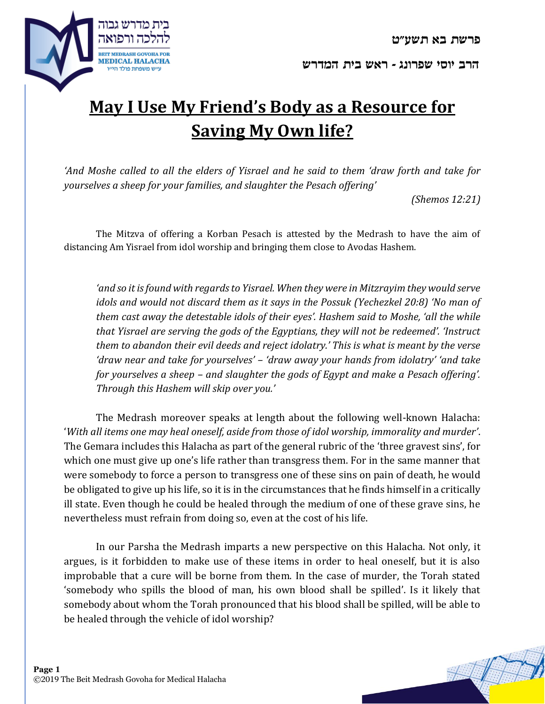



## **May I Use My Friend's Body as a Resource for Saving My Own life?**

*'And Moshe called to all the elders of Yisrael and he said to them 'draw forth and take for yourselves a sheep for your families, and slaughter the Pesach offering'* 

*(Shemos 12:21)*

The Mitzva of offering a Korban Pesach is attested by the Medrash to have the aim of distancing Am Yisrael from idol worship and bringing them close to Avodas Hashem.

*'and so it is found with regards to Yisrael. When they were in Mitzrayim they would serve idols and would not discard them as it says in the Possuk (Yechezkel 20:8) 'No man of them cast away the detestable idols of their eyes'. Hashem said to Moshe, 'all the while that Yisrael are serving the gods of the Egyptians, they will not be redeemed'. 'Instruct them to abandon their evil deeds and reject idolatry.' This is what is meant by the verse 'draw near and take for yourselves' – 'draw away your hands from idolatry' 'and take for yourselves a sheep – and slaughter the gods of Egypt and make a Pesach offering'. Through this Hashem will skip over you.'*

The Medrash moreover speaks at length about the following well-known Halacha: '*With all items one may heal oneself, aside from those of idol worship, immorality and murder'*. The Gemara includes this Halacha as part of the general rubric of the 'three gravest sins', for which one must give up one's life rather than transgress them. For in the same manner that were somebody to force a person to transgress one of these sins on pain of death, he would be obligated to give up his life, so it is in the circumstances that he finds himself in a critically ill state. Even though he could be healed through the medium of one of these grave sins, he nevertheless must refrain from doing so, even at the cost of his life.

In our Parsha the Medrash imparts a new perspective on this Halacha. Not only, it argues, is it forbidden to make use of these items in order to heal oneself, but it is also improbable that a cure will be borne from them. In the case of murder, the Torah stated 'somebody who spills the blood of man, his own blood shall be spilled'. Is it likely that somebody about whom the Torah pronounced that his blood shall be spilled, will be able to be healed through the vehicle of idol worship?

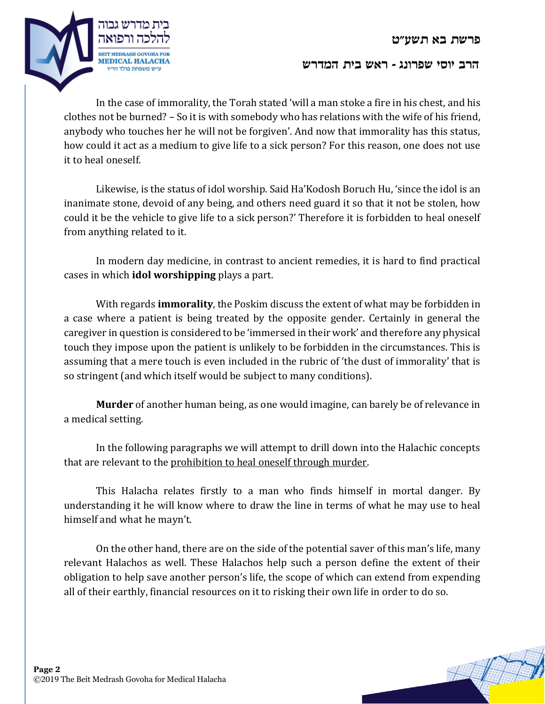

In the case of immorality, the Torah stated 'will a man stoke a fire in his chest, and his clothes not be burned? – So it is with somebody who has relations with the wife of his friend, anybody who touches her he will not be forgiven'. And now that immorality has this status, how could it act as a medium to give life to a sick person? For this reason, one does not use it to heal oneself.

Likewise, is the status of idol worship. Said Ha'Kodosh Boruch Hu, 'since the idol is an inanimate stone, devoid of any being, and others need guard it so that it not be stolen, how could it be the vehicle to give life to a sick person?' Therefore it is forbidden to heal oneself from anything related to it.

In modern day medicine, in contrast to ancient remedies, it is hard to find practical cases in which **idol worshipping** plays a part.

With regards **immorality**, the Poskim discuss the extent of what may be forbidden in a case where a patient is being treated by the opposite gender. Certainly in general the caregiver in question is considered to be 'immersed in their work' and therefore any physical touch they impose upon the patient is unlikely to be forbidden in the circumstances. This is assuming that a mere touch is even included in the rubric of 'the dust of immorality' that is so stringent (and which itself would be subject to many conditions).

**Murder** of another human being, as one would imagine, can barely be of relevance in a medical setting.

In the following paragraphs we will attempt to drill down into the Halachic concepts that are relevant to the prohibition to heal oneself through murder.

This Halacha relates firstly to a man who finds himself in mortal danger. By understanding it he will know where to draw the line in terms of what he may use to heal himself and what he mayn't.

On the other hand, there are on the side of the potential saver of this man's life, many relevant Halachos as well. These Halachos help such a person define the extent of their obligation to help save another person's life, the scope of which can extend from expending all of their earthly, financial resources on it to risking their own life in order to do so.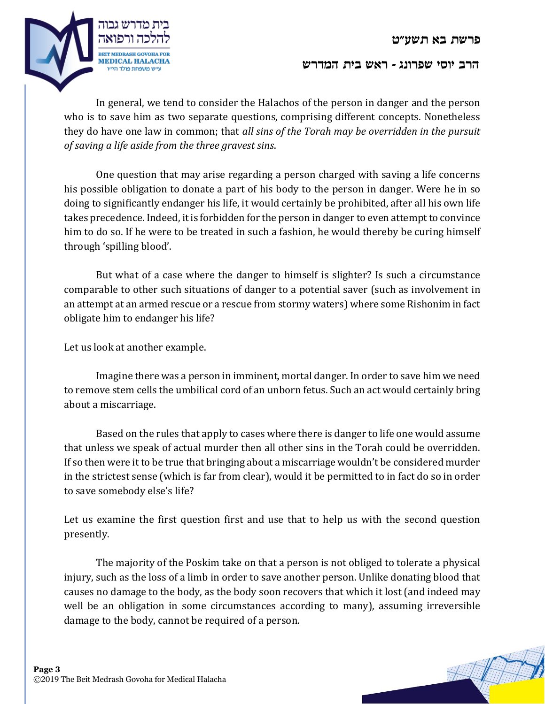

In general, we tend to consider the Halachos of the person in danger and the person who is to save him as two separate questions, comprising different concepts. Nonetheless they do have one law in common; that *all sins of the Torah may be overridden in the pursuit of saving a life aside from the three gravest sins*.

One question that may arise regarding a person charged with saving a life concerns his possible obligation to donate a part of his body to the person in danger. Were he in so doing to significantly endanger his life, it would certainly be prohibited, after all his own life takes precedence. Indeed, it is forbidden for the person in danger to even attempt to convince him to do so. If he were to be treated in such a fashion, he would thereby be curing himself through 'spilling blood'.

But what of a case where the danger to himself is slighter? Is such a circumstance comparable to other such situations of danger to a potential saver (such as involvement in an attempt at an armed rescue or a rescue from stormy waters) where some Rishonim in fact obligate him to endanger his life?

Let us look at another example.

Imagine there was a person in imminent, mortal danger. In order to save him we need to remove stem cells the umbilical cord of an unborn fetus. Such an act would certainly bring about a miscarriage.

Based on the rules that apply to cases where there is danger to life one would assume that unless we speak of actual murder then all other sins in the Torah could be overridden. If so then were it to be true that bringing about a miscarriage wouldn't be considered murder in the strictest sense (which is far from clear), would it be permitted to in fact do so in order to save somebody else's life?

Let us examine the first question first and use that to help us with the second question presently.

The majority of the Poskim take on that a person is not obliged to tolerate a physical injury, such as the loss of a limb in order to save another person. Unlike donating blood that causes no damage to the body, as the body soon recovers that which it lost (and indeed may well be an obligation in some circumstances according to many), assuming irreversible damage to the body, cannot be required of a person.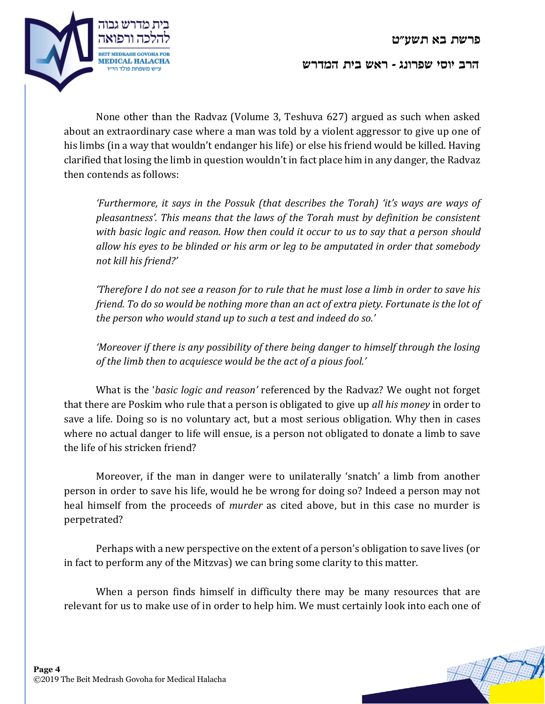

None other than the Radvaz (Volume 3, Teshuva 627) argued as such when asked about an extraordinary case where a man was told by a violent aggressor to give up one of his limbs (in a way that wouldn't endanger his life) or else his friend would be killed. Having clarified that losing the limb in question wouldn't in fact place him in any danger, the Radvaz then contends as follows:

*'Furthermore, it says in the Possuk (that describes the Torah) 'it's ways are ways of pleasantness'. This means that the laws of the Torah must by definition be consistent with basic logic and reason. How then could it occur to us to say that a person should allow his eyes to be blinded or his arm or leg to be amputated in order that somebody not kill his friend?'*

*'Therefore I do not see a reason for to rule that he must lose a limb in order to save his friend. To do so would be nothing more than an act of extra piety. Fortunate is the lot of the person who would stand up to such a test and indeed do so.'*

*'Moreover if there is any possibility of there being danger to himself through the losing of the limb then to acquiesce would be the act of a pious fool.'*

What is the '*basic logic and reason'* referenced by the Radvaz? We ought not forget that there are Poskim who rule that a person is obligated to give up *all his money* in order to save a life. Doing so is no voluntary act, but a most serious obligation. Why then in cases where no actual danger to life will ensue, is a person not obligated to donate a limb to save the life of his stricken friend?

Moreover, if the man in danger were to unilaterally 'snatch' a limb from another person in order to save his life, would he be wrong for doing so? Indeed a person may not heal himself from the proceeds of *murder* as cited above, but in this case no murder is perpetrated?

Perhaps with a new perspective on the extent of a person's obligation to save lives (or in fact to perform any of the Mitzvas) we can bring some clarity to this matter.

When a person finds himself in difficulty there may be many resources that are relevant for us to make use of in order to help him. We must certainly look into each one of

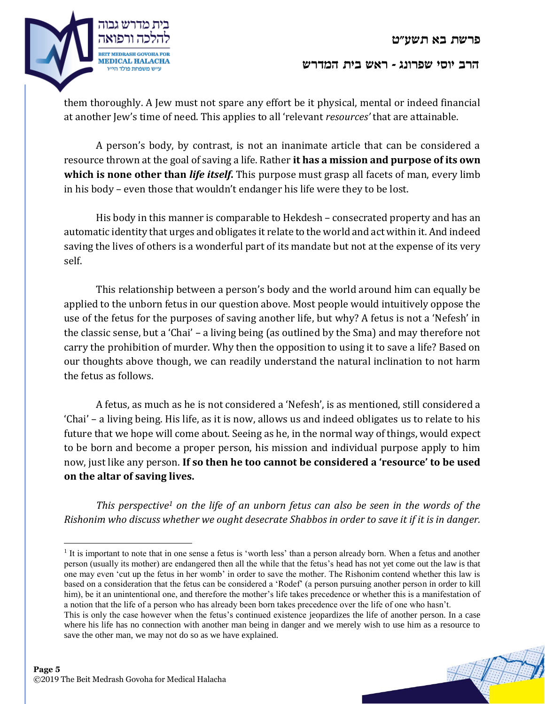

them thoroughly. A Jew must not spare any effort be it physical, mental or indeed financial at another Jew's time of need. This applies to all 'relevant *resources'* that are attainable.

A person's body, by contrast, is not an inanimate article that can be considered a resource thrown at the goal of saving a life. Rather **it has a mission and purpose of its own which is none other than** *life itself***.** This purpose must grasp all facets of man, every limb in his body – even those that wouldn't endanger his life were they to be lost.

His body in this manner is comparable to Hekdesh – consecrated property and has an automatic identity that urges and obligates it relate to the world and act within it. And indeed saving the lives of others is a wonderful part of its mandate but not at the expense of its very self.

This relationship between a person's body and the world around him can equally be applied to the unborn fetus in our question above. Most people would intuitively oppose the use of the fetus for the purposes of saving another life, but why? A fetus is not a 'Nefesh' in the classic sense, but a 'Chai' – a living being (as outlined by the Sma) and may therefore not carry the prohibition of murder. Why then the opposition to using it to save a life? Based on our thoughts above though, we can readily understand the natural inclination to not harm the fetus as follows.

A fetus, as much as he is not considered a 'Nefesh', is as mentioned, still considered a 'Chai' – a living being. His life, as it is now, allows us and indeed obligates us to relate to his future that we hope will come about. Seeing as he, in the normal way of things, would expect to be born and become a proper person, his mission and individual purpose apply to him now, just like any person. **If so then he too cannot be considered a 'resource' to be used on the altar of saving lives.**

*This perspective<sup>1</sup> on the life of an unborn fetus can also be seen in the words of the Rishonim who discuss whether we ought desecrate Shabbos in order to save it if it is in danger.* 

 $\overline{\phantom{a}}$ 

<sup>&</sup>lt;sup>1</sup> It is important to note that in one sense a fetus is 'worth less' than a person already born. When a fetus and another person (usually its mother) are endangered then all the while that the fetus's head has not yet come out the law is that one may even 'cut up the fetus in her womb' in order to save the mother. The Rishonim contend whether this law is based on a consideration that the fetus can be considered a 'Rodef' (a person pursuing another person in order to kill him), be it an unintentional one, and therefore the mother's life takes precedence or whether this is a manifestation of a notion that the life of a person who has already been born takes precedence over the life of one who hasn't.

This is only the case however when the fetus's continued existence jeopardizes the life of another person. In a case where his life has no connection with another man being in danger and we merely wish to use him as a resource to save the other man, we may not do so as we have explained.